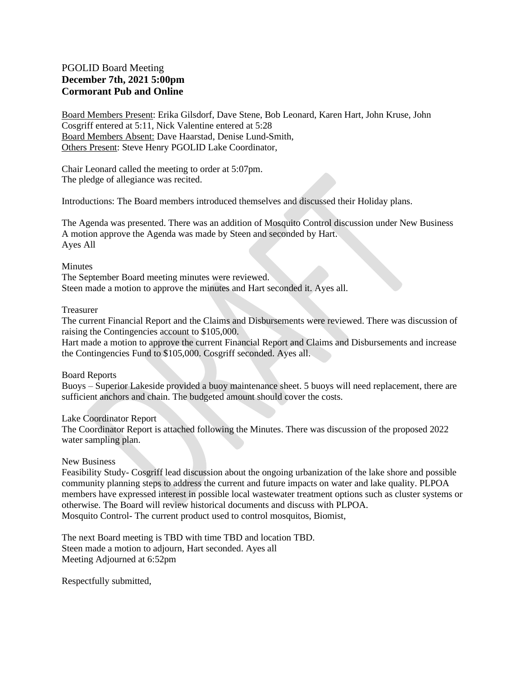### PGOLID Board Meeting **December 7th, 2021 5:00pm Cormorant Pub and Online**

Board Members Present: Erika Gilsdorf, Dave Stene, Bob Leonard, Karen Hart, John Kruse, John Cosgriff entered at 5:11, Nick Valentine entered at 5:28 Board Members Absent: Dave Haarstad, Denise Lund-Smith, Others Present: Steve Henry PGOLID Lake Coordinator,

Chair Leonard called the meeting to order at 5:07pm. The pledge of allegiance was recited.

Introductions: The Board members introduced themselves and discussed their Holiday plans.

The Agenda was presented. There was an addition of Mosquito Control discussion under New Business A motion approve the Agenda was made by Steen and seconded by Hart. Ayes All

#### Minutes

The September Board meeting minutes were reviewed. Steen made a motion to approve the minutes and Hart seconded it. Ayes all.

#### Treasurer

The current Financial Report and the Claims and Disbursements were reviewed. There was discussion of raising the Contingencies account to \$105,000.

Hart made a motion to approve the current Financial Report and Claims and Disbursements and increase the Contingencies Fund to \$105,000. Cosgriff seconded. Ayes all.

Board Reports

Buoys – Superior Lakeside provided a buoy maintenance sheet. 5 buoys will need replacement, there are sufficient anchors and chain. The budgeted amount should cover the costs.

Lake Coordinator Report

The Coordinator Report is attached following the Minutes. There was discussion of the proposed 2022 water sampling plan.

#### New Business

Feasibility Study- Cosgriff lead discussion about the ongoing urbanization of the lake shore and possible community planning steps to address the current and future impacts on water and lake quality. PLPOA members have expressed interest in possible local wastewater treatment options such as cluster systems or otherwise. The Board will review historical documents and discuss with PLPOA. Mosquito Control- The current product used to control mosquitos, Biomist,

The next Board meeting is TBD with time TBD and location TBD. Steen made a motion to adjourn, Hart seconded. Ayes all Meeting Adjourned at 6:52pm

Respectfully submitted,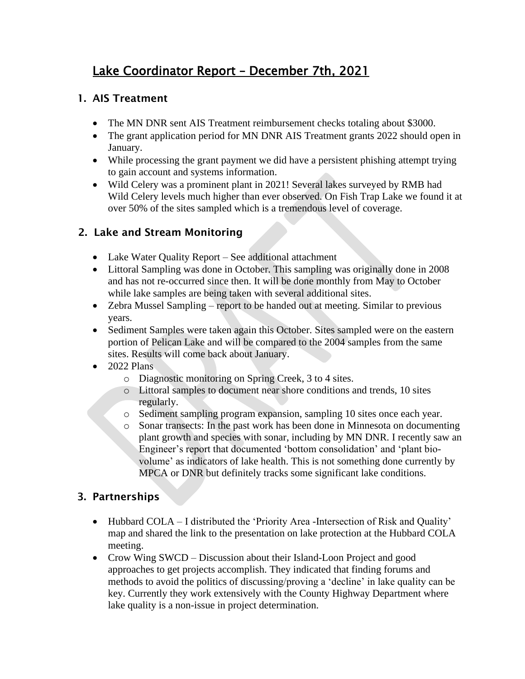# Lake Coordinator Report – December 7th, 2021

## 1. AIS Treatment

- The MN DNR sent AIS Treatment reimbursement checks totaling about \$3000.
- The grant application period for MN DNR AIS Treatment grants 2022 should open in January.
- While processing the grant payment we did have a persistent phishing attempt trying to gain account and systems information.
- Wild Celery was a prominent plant in 2021! Several lakes surveyed by RMB had Wild Celery levels much higher than ever observed. On Fish Trap Lake we found it at over 50% of the sites sampled which is a tremendous level of coverage.

# 2. Lake and Stream Monitoring

- Lake Water Quality Report See additional attachment
- Littoral Sampling was done in October. This sampling was originally done in 2008 and has not re-occurred since then. It will be done monthly from May to October while lake samples are being taken with several additional sites.
- Zebra Mussel Sampling report to be handed out at meeting. Similar to previous years.
- Sediment Samples were taken again this October. Sites sampled were on the eastern portion of Pelican Lake and will be compared to the 2004 samples from the same sites. Results will come back about January.
- $\bullet$  2022 Plans
	- o Diagnostic monitoring on Spring Creek, 3 to 4 sites.
	- o Littoral samples to document near shore conditions and trends, 10 sites regularly.
	- o Sediment sampling program expansion, sampling 10 sites once each year.
	- o Sonar transects: In the past work has been done in Minnesota on documenting plant growth and species with sonar, including by MN DNR. I recently saw an Engineer's report that documented 'bottom consolidation' and 'plant biovolume' as indicators of lake health. This is not something done currently by MPCA or DNR but definitely tracks some significant lake conditions.

# 3. Partnerships

- Hubbard COLA I distributed the 'Priority Area -Intersection of Risk and Quality' map and shared the link to the presentation on lake protection at the Hubbard COLA meeting.
- Crow Wing SWCD Discussion about their Island-Loon Project and good approaches to get projects accomplish. They indicated that finding forums and methods to avoid the politics of discussing/proving a 'decline' in lake quality can be key. Currently they work extensively with the County Highway Department where lake quality is a non-issue in project determination.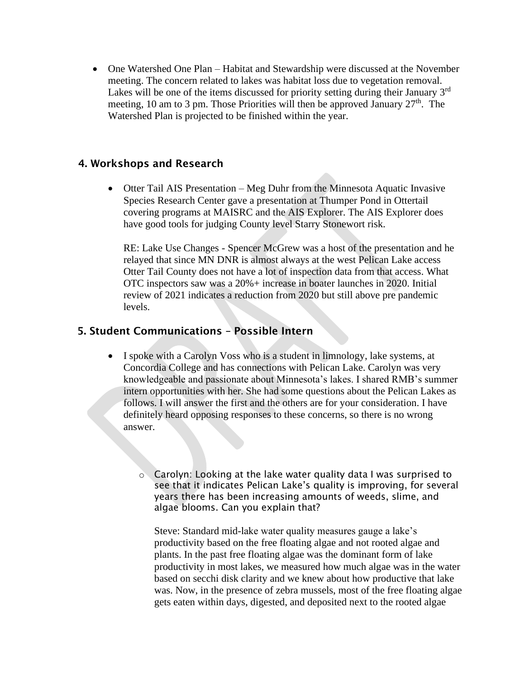• One Watershed One Plan – Habitat and Stewardship were discussed at the November meeting. The concern related to lakes was habitat loss due to vegetation removal. Lakes will be one of the items discussed for priority setting during their January 3<sup>rd</sup> meeting, 10 am to 3 pm. Those Priorities will then be approved January  $27<sup>th</sup>$ . The Watershed Plan is projected to be finished within the year.

### 4. Workshops and Research

• Otter Tail AIS Presentation – Meg Duhr from the Minnesota Aquatic Invasive Species Research Center gave a presentation at Thumper Pond in Ottertail covering programs at MAISRC and the AIS Explorer. The AIS Explorer does have good tools for judging County level Starry Stonewort risk.

RE: Lake Use Changes - Spencer McGrew was a host of the presentation and he relayed that since MN DNR is almost always at the west Pelican Lake access Otter Tail County does not have a lot of inspection data from that access. What OTC inspectors saw was a 20%+ increase in boater launches in 2020. Initial review of 2021 indicates a reduction from 2020 but still above pre pandemic levels.

### 5. Student Communications – Possible Intern

• I spoke with a Carolyn Voss who is a student in limnology, lake systems, at Concordia College and has connections with Pelican Lake. Carolyn was very knowledgeable and passionate about Minnesota's lakes. I shared RMB's summer intern opportunities with her. She had some questions about the Pelican Lakes as follows. I will answer the first and the others are for your consideration. I have definitely heard opposing responses to these concerns, so there is no wrong answer.

o Carolyn: Looking at the lake water quality data I was surprised to see that it indicates Pelican Lake's quality is improving, for several years there has been increasing amounts of weeds, slime, and algae blooms. Can you explain that?

Steve: Standard mid-lake water quality measures gauge a lake's productivity based on the free floating algae and not rooted algae and plants. In the past free floating algae was the dominant form of lake productivity in most lakes, we measured how much algae was in the water based on secchi disk clarity and we knew about how productive that lake was. Now, in the presence of zebra mussels, most of the free floating algae gets eaten within days, digested, and deposited next to the rooted algae